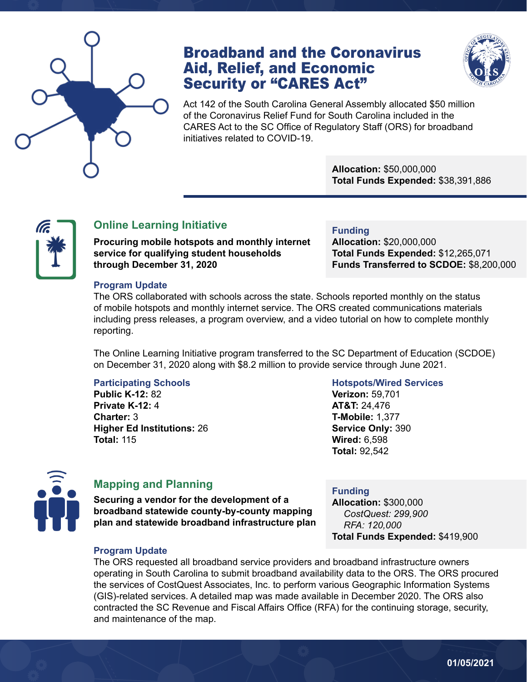

## Broadband and the Coronavirus Aid, Relief, and Economic Security or "CARES Act"



Act 142 of the South Carolina General Assembly allocated \$50 million of the Coronavirus Relief Fund for South Carolina included in the CARES Act to the SC Office of Regulatory Staff (ORS) for broadband initiatives related to COVID-19.

> **Allocation:** \$50,000,000 **Total Funds Expended:** \$38,391,886



### **Online Learning Initiative**

**Procuring mobile hotspots and monthly internet service for qualifying student households through December 31, 2020**

#### **Funding**

**Allocation:** \$20,000,000 **Total Funds Expended:** \$12,265,071 **Funds Transferred to SCDOE:** \$8,200,000

#### **Program Update**

The ORS collaborated with schools across the state. Schools reported monthly on the status of mobile hotspots and monthly internet service. The ORS created communications materials including press releases, a program overview, and a video tutorial on how to complete monthly reporting.

The Online Learning Initiative program transferred to the SC Department of Education (SCDOE) on December 31, 2020 along with \$8.2 million to provide service through June 2021.

#### **Participating Schools**

**Public K-12:** 82 **Private K-12:** 4 **Charter:** 3 **Higher Ed Institutions:** 26 **Total:** 115

#### **Hotspots/Wired Services**

**Verizon:** 59,701 **AT&T:** 24,476 **T-Mobile:** 1,377 **Service Only:** 390 **Wired:** 6,598 **Total:** 92,542



#### **Mapping and Planning**

**Securing a vendor for the development of a broadband statewide county-by-county mapping plan and statewide broadband infrastructure plan**

#### **Funding**

**Allocation:** \$300,000 *CostQuest: 299,900 RFA: 120,000* **Total Funds Expended:** \$419,900

#### **Program Update**

The ORS requested all broadband service providers and broadband infrastructure owners operating in South Carolina to submit broadband availability data to the ORS. The ORS procured the services of CostQuest Associates, Inc. to perform various Geographic Information Systems (GIS)-related services. A detailed map was made available in December 2020. The ORS also contracted the SC Revenue and Fiscal Affairs Office (RFA) for the continuing storage, security, and maintenance of the map.